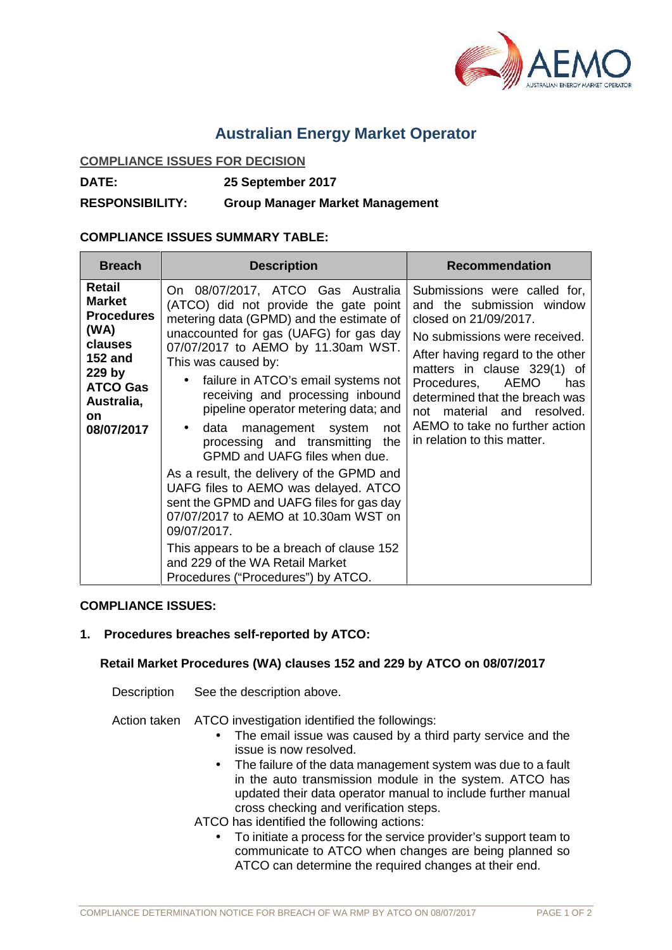

# **Australian Energy Market Operator**

#### **COMPLIANCE ISSUES FOR DECISION**

**DATE: 25 September 2017**

**RESPONSIBILITY: Group Manager Market Management**

### **COMPLIANCE ISSUES SUMMARY TABLE:**

#### **COMPLIANCE ISSUES:**

**1. Procedures breaches self-reported by ATCO:**

## **Retail Market Procedures (WA) clauses 152 and 229 by ATCO on 08/07/2017**

Description See the description above.

Action taken ATCO investigation identified the followings:

- The email issue was caused by a third party service and the issue is now resolved.
- The failure of the data management system was due to a fault in the auto transmission module in the system. ATCO has updated their data operator manual to include further manual cross checking and verification steps.

ATCO has identified the following actions:

 To initiate a process for the service provider's support team to communicate to ATCO when changes are being planned so ATCO can determine the required changes at their end.